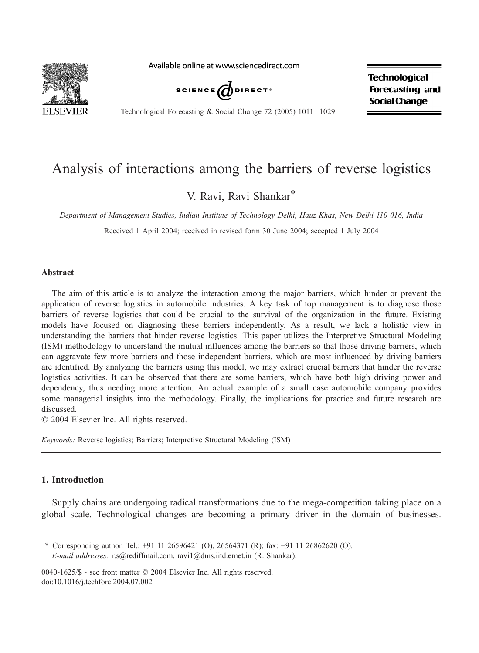

Available online at www.sciencedirect.com



**Technological Forecasting and Social Change** 

Technological Forecasting & Social Change 72 (2005)  $1011 - 1029$ 

## Analysis of interactions among the barriers of reverse logistics

V. Ravi, Ravi Shankar\*

Department of Management Studies, Indian Institute of Technology Delhi, Hauz Khas, New Delhi 110 016, India

Received 1 April 2004; received in revised form 30 June 2004; accepted 1 July 2004

## Abstract

The aim of this article is to analyze the interaction among the major barriers, which hinder or prevent the application of reverse logistics in automobile industries. A key task of top management is to diagnose those barriers of reverse logistics that could be crucial to the survival of the organization in the future. Existing models have focused on diagnosing these barriers independently. As a result, we lack a holistic view in understanding the barriers that hinder reverse logistics. This paper utilizes the Interpretive Structural Modeling (ISM) methodology to understand the mutual influences among the barriers so that those driving barriers, which can aggravate few more barriers and those independent barriers, which are most influenced by driving barriers are identified. By analyzing the barriers using this model, we may extract crucial barriers that hinder the reverse logistics activities. It can be observed that there are some barriers, which have both high driving power and dependency, thus needing more attention. An actual example of a small case automobile company provides some managerial insights into the methodology. Finally, the implications for practice and future research are discussed.

 $© 2004 Elsevier Inc. All rights reserved.$ 

Keywords: Reverse logistics; Barriers; Interpretive Structural Modeling (ISM)

## 1. Introduction

Supply chains are undergoing radical transformations due to the mega-competition taking place on a global scale. Technological changes are becoming a primary driver in the domain of businesses.

<sup>\*</sup> Corresponding author. Tel.: +91 11 26596421 (O), 26564371 (R); fax: +91 11 26862620 (O). E-mail addresses:  $r.s$ @rediffmail.com,  $ravi1$ @dms.iitd.ernet.in (R. Shankar).

<sup>0040-1625/\$ -</sup> see front matter © 2004 Elsevier Inc. All rights reserved. doi:10.1016/j.techfore.2004.07.002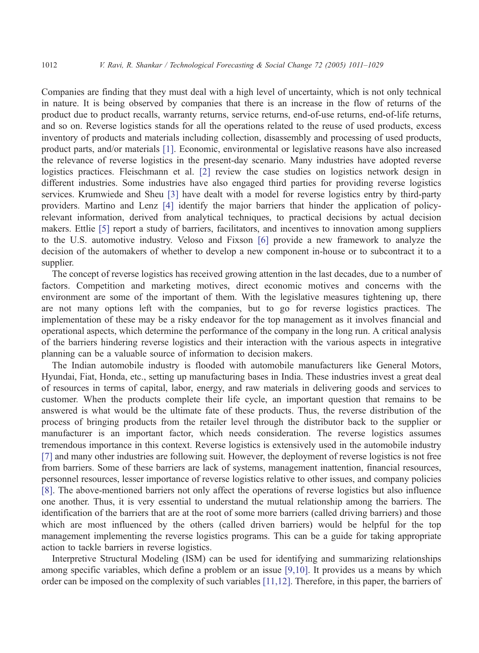Companies are finding that they must deal with a high level of uncertainty, which is not only technical in nature. It is being observed by companies that there is an increase in the flow of returns of the product due to product recalls, warranty returns, service returns, end-of-use returns, end-of-life returns, and so on. Reverse logistics stands for all the operations related to the reuse of used products, excess inventory of products and materials including collection, disassembly and processing of used products, product parts, and/or materials [\[1\].](#page--1-0) Economic, environmental or legislative reasons have also increased the relevance of reverse logistics in the present-day scenario. Many industries have adopted reverse logistics practices. Fleischmann et al. [\[2\]](#page--1-0) review the case studies on logistics network design in different industries. Some industries have also engaged third parties for providing reverse logistics services. Krumwiede and Sheu [\[3\]](#page--1-0) have dealt with a model for reverse logistics entry by third-party providers. Martino and Lenz [\[4\]](#page--1-0) identify the major barriers that hinder the application of policyrelevant information, derived from analytical techniques, to practical decisions by actual decision makers. Ettlie [\[5\]](#page--1-0) report a study of barriers, facilitators, and incentives to innovation among suppliers to the U.S. automotive industry. Veloso and Fixson [\[6\]](#page--1-0) provide a new framework to analyze the decision of the automakers of whether to develop a new component in-house or to subcontract it to a supplier.

The concept of reverse logistics has received growing attention in the last decades, due to a number of factors. Competition and marketing motives, direct economic motives and concerns with the environment are some of the important of them. With the legislative measures tightening up, there are not many options left with the companies, but to go for reverse logistics practices. The implementation of these may be a risky endeavor for the top management as it involves financial and operational aspects, which determine the performance of the company in the long run. A critical analysis of the barriers hindering reverse logistics and their interaction with the various aspects in integrative planning can be a valuable source of information to decision makers.

The Indian automobile industry is flooded with automobile manufacturers like General Motors, Hyundai, Fiat, Honda, etc., setting up manufacturing bases in India. These industries invest a great deal of resources in terms of capital, labor, energy, and raw materials in delivering goods and services to customer. When the products complete their life cycle, an important question that remains to be answered is what would be the ultimate fate of these products. Thus, the reverse distribution of the process of bringing products from the retailer level through the distributor back to the supplier or manufacturer is an important factor, which needs consideration. The reverse logistics assumes tremendous importance in this context. Reverse logistics is extensively used in the automobile industry [\[7\]](#page--1-0) and many other industries are following suit. However, the deployment of reverse logistics is not free from barriers. Some of these barriers are lack of systems, management inattention, financial resources, personnel resources, lesser importance of reverse logistics relative to other issues, and company policies [\[8\].](#page--1-0) The above-mentioned barriers not only affect the operations of reverse logistics but also influence one another. Thus, it is very essential to understand the mutual relationship among the barriers. The identification of the barriers that are at the root of some more barriers (called driving barriers) and those which are most influenced by the others (called driven barriers) would be helpful for the top management implementing the reverse logistics programs. This can be a guide for taking appropriate action to tackle barriers in reverse logistics.

Interpretive Structural Modeling (ISM) can be used for identifying and summarizing relationships among specific variables, which define a problem or an issue [\[9,10\].](#page--1-0) It provides us a means by which order can be imposed on the complexity of such variables [\[11,12\].](#page--1-0) Therefore, in this paper, the barriers of